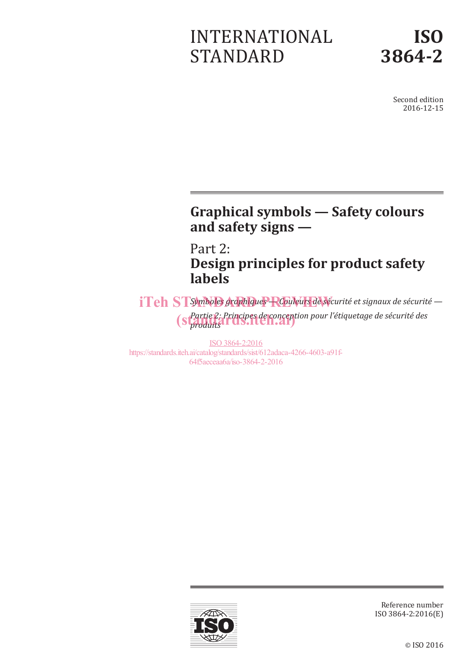# INTERNATIONAL STANDARD

Second edition 2016-12-15

# **Graphical symbols — Safety colours and safety signs —**

Part 2: **Design principles for product safety labels**

*iTeh STSymboles graphiques + Couleurs de sécurité et signaux de sécurité* — *Partie 2: Principes de conception pour l'étiquetage de sécurité des (s Partie 2: Principes de conception de la produits* 

ISO 3864-2:2016 https://standards.iteh.ai/catalog/standards/sist/612adaca-4266-4603-a91f-64f5aeceaa6a/iso-3864-2-2016



Reference number ISO 3864-2:2016(E)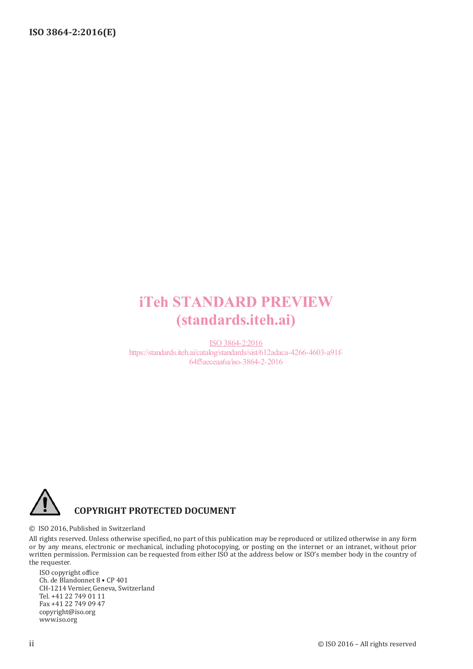# iTeh STANDARD PREVIEW (standards.iteh.ai)

ISO 3864-2:2016 https://standards.iteh.ai/catalog/standards/sist/612adaca-4266-4603-a91f-64f5aeceaa6a/iso-3864-2-2016



#### © ISO 2016, Published in Switzerland

All rights reserved. Unless otherwise specified, no part of this publication may be reproduced or utilized otherwise in any form or by any means, electronic or mechanical, including photocopying, or posting on the internet or an intranet, without prior written permission. Permission can be requested from either ISO at the address below or ISO's member body in the country of the requester.

ISO copyright office Ch. de Blandonnet 8 • CP 401 CH-1214 Vernier, Geneva, Switzerland Tel. +41 22 749 01 11 Fax +41 22 749 09 47 copyright@iso.org www.iso.org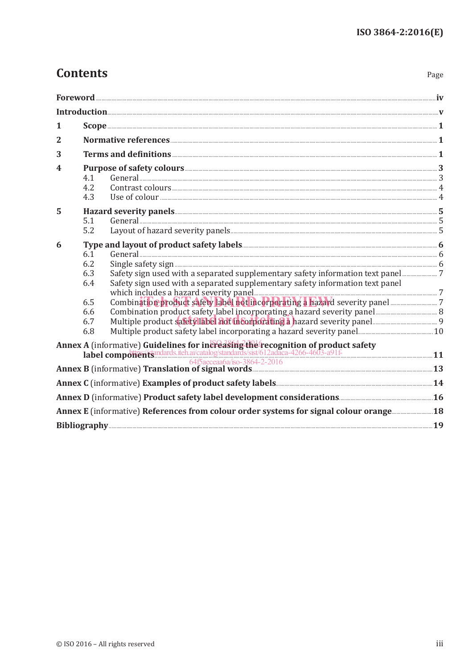# **Contents**

| ×<br>۰, |
|---------|
|---------|

| 1                                                                                     |                                                                                                                                                                                                                     |  |  |  |  |  |
|---------------------------------------------------------------------------------------|---------------------------------------------------------------------------------------------------------------------------------------------------------------------------------------------------------------------|--|--|--|--|--|
| 2                                                                                     |                                                                                                                                                                                                                     |  |  |  |  |  |
| 3                                                                                     |                                                                                                                                                                                                                     |  |  |  |  |  |
| $\overline{\mathbf{4}}$                                                               | Purpose of safety colours <b>Executive Colours</b> 3<br>4.1<br>4.2<br>4.3                                                                                                                                           |  |  |  |  |  |
| 5                                                                                     | 5.1<br>5.2                                                                                                                                                                                                          |  |  |  |  |  |
| 6                                                                                     | 6.1<br>6.2<br>6.3<br>Safety sign used with a separated supplementary safety information text panel<br>6.4<br>Combination product safety label not incorporating a hazard severity panel<br>6.5<br>6.6<br>6.7<br>6.8 |  |  |  |  |  |
|                                                                                       | Annex A (informative) Guidelines for ineredisting the recognition of product safety<br>label components indicately standards/sist/612adaca-4266-4603-a91f-<br>645 aeceaa6a/iso-3864-2-2016                          |  |  |  |  |  |
|                                                                                       |                                                                                                                                                                                                                     |  |  |  |  |  |
|                                                                                       |                                                                                                                                                                                                                     |  |  |  |  |  |
| Annex E (informative) References from colour order systems for signal colour orange18 |                                                                                                                                                                                                                     |  |  |  |  |  |
|                                                                                       |                                                                                                                                                                                                                     |  |  |  |  |  |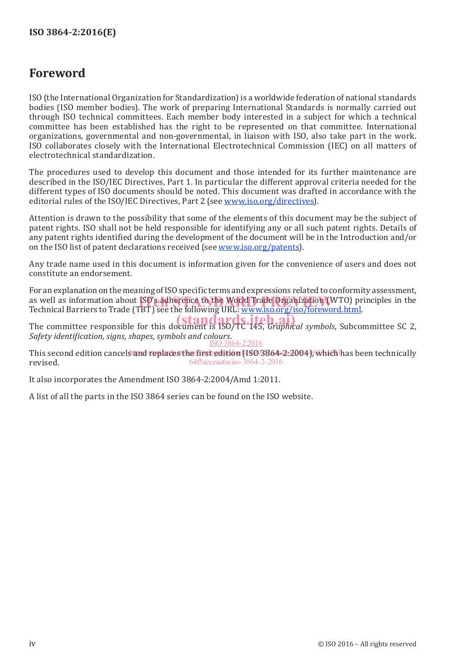# **Foreword**

ISO (the International Organization for Standardization) is a worldwide federation of national standards bodies (ISO member bodies). The work of preparing International Standards is normally carried out through ISO technical committees. Each member body interested in a subject for which a technical committee has been established has the right to be represented on that committee. International organizations, governmental and non-governmental, in liaison with ISO, also take part in the work. ISO collaborates closely with the International Electrotechnical Commission (IEC) on all matters of electrotechnical standardization.

The procedures used to develop this document and those intended for its further maintenance are described in the ISO/IEC Directives, Part 1. In particular the different approval criteria needed for the different types of ISO documents should be noted. This document was drafted in accordance with the editorial rules of the ISO/IEC Directives, Part 2 (see www.iso.org/directives).

Attention is drawn to the possibility that some of the elements of this document may be the subject of patent rights. ISO shall not be held responsible for identifying any or all such patent rights. Details of any patent rights identified during the development of the document will be in the Introduction and/or on the ISO list of patent declarations received (see www.iso.org/patents).

Any trade name used in this document is information given for the convenience of users and does not constitute an endorsement.

For an explanation on the meaning of ISO specific terms and expressions related to conformity assessment, as well as information about ISO's adherence to the World Trade Organization (WTO) principles in the<br>Technical Barriers to Trade (TBT) see the following URL: www.iso.org/iso/foreword.html Technical Barriers to Trade (TBT) see the following URL: www.iso.org/iso/foreword.html.

The committee responsible for this document is ISO/TC 145, *Graphical symbols*, Subcommittee SC 2, *Safety identification, signs, shapes, symbols and colours*. ISO 3864-2:2016

This second edition cancels and replaces the first edition (ISO 3864-2:2004), which has been technically revised. 64f5aeceaa6a/iso-3864-2-2016

It also incorporates the Amendment ISO 3864-2:2004/Amd 1:2011.

A list of all the parts in the ISO 3864 series can be found on the ISO website.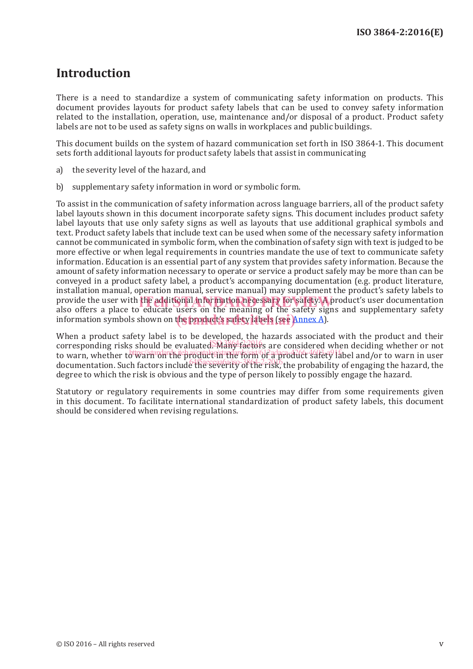# **Introduction**

There is a need to standardize a system of communicating safety information on products. This document provides layouts for product safety labels that can be used to convey safety information related to the installation, operation, use, maintenance and/or disposal of a product. Product safety labels are not to be used as safety signs on walls in workplaces and public buildings.

This document builds on the system of hazard communication set forth in ISO 3864-1. This document sets forth additional layouts for product safety labels that assist in communicating

- a) the severity level of the hazard, and
- b) supplementary safety information in word or symbolic form.

To assist in the communication of safety information across language barriers, all of the product safety label layouts shown in this document incorporate safety signs. This document includes product safety label layouts that use only safety signs as well as layouts that use additional graphical symbols and text. Product safety labels that include text can be used when some of the necessary safety information cannot be communicated in symbolic form, when the combination of safety sign with text is judged to be more effective or when legal requirements in countries mandate the use of text to communicate safety information. Education is an essential part of any system that provides safety information. Because the amount of safety information necessary to operate or service a product safely may be more than can be conveyed in a product safety label, a product's accompanying documentation (e.g. product literature, installation manual, operation manual, service manual) may supplement the product's safety labels to provide the user with the additional information necessary for safety. A product's user documentation also offers a place to educate users on the meaning of the safety signs and supplementary safety also offers a place to educate users on the meaning of the safety signs and supplementary safety information symbols shown on the product's safety labels (see Annex A).

When a product safety label is to be developed, the hazards associated with the product and their corresponding risks should be evaluated. Many factors are considered when deciding whether or not corresponding risks should be evaluated. Many factors are considered when deciding whether or not to warn, whether to warn on the product in the form of a product safety label and/or to warn in user to the matrix include the severity of the risk, the probability of engaging the hazard, the documentation. Such factors include the severity of the risk, the probability of engaging the hazard, the degree to which the risk is obvious and the type of person likely to possibly engage the hazard.

Statutory or regulatory requirements in some countries may differ from some requirements given in this document. To facilitate international standardization of product safety labels, this document should be considered when revising regulations.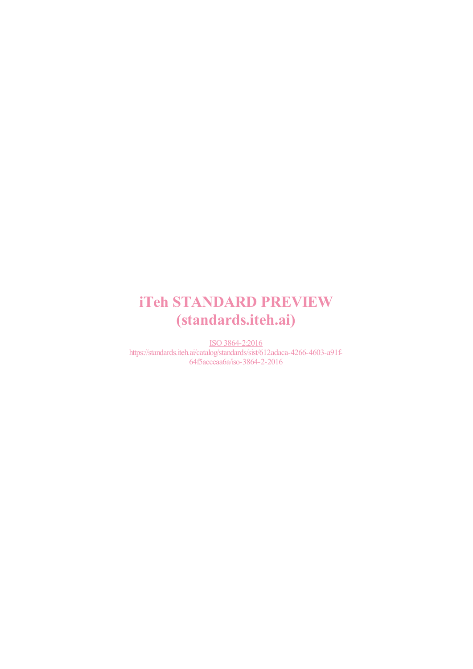# iTeh STANDARD PREVIEW (standards.iteh.ai)

ISO 3864-2:2016 https://standards.iteh.ai/catalog/standards/sist/612adaca-4266-4603-a91f-64f5aeceaa6a/iso-3864-2-2016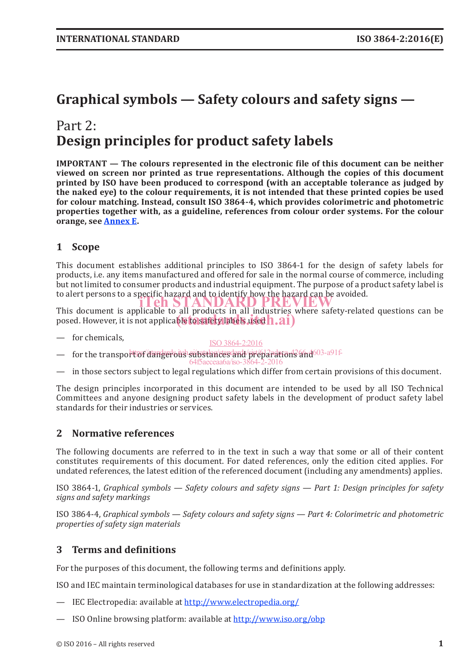# **Graphical symbols — Safety colours and safety signs —**

# Part 2: **Design principles for product safety labels**

**IMPORTANT — The colours represented in the electronic file of this document can be neither viewed on screen nor printed as true representations. Although the copies of this document printed by ISO have been produced to correspond (with an acceptable tolerance as judged by the naked eye) to the colour requirements, it is not intended that these printed copies be used for colour matching. Instead, consult ISO 3864-4, which provides colorimetric and photometric properties together with, as a guideline, references from colour order systems. For the colour orange, see Annex E.**

# **1 Scope**

This document establishes additional principles to ISO 3864-1 for the design of safety labels for products, i.e. any items manufactured and offered for sale in the normal course of commerce, including but not limited to consumer products and industrial equipment. The purpose of a product safety label is to alert persons to a specific hazard and to identify how the hazard can be avoided. ectric hazard and to deficitly now the hazard can be a

This document is applicable to all products in all industries where safety-related questions can be posed. However, it is not applicable to safety labels used **h**.ai)

— for chemicals,

ISO 3864-2:2016

— for the transport of dangerous substances and preparations and <sup>603-a91f-</sup>

 $645$ aeceaa $6a$ /iso-2

— in those sectors subject to legal regulations which differ from certain provisions of this document.

The design principles incorporated in this document are intended to be used by all ISO Technical Committees and anyone designing product safety labels in the development of product safety label standards for their industries or services.

# **2 Normative references**

The following documents are referred to in the text in such a way that some or all of their content constitutes requirements of this document. For dated references, only the edition cited applies. For undated references, the latest edition of the referenced document (including any amendments) applies.

ISO 3864-1, *Graphical symbols — Safety colours and safety signs — Part 1: Design principles for safety signs and safety markings*

ISO 3864-4, *Graphical symbols — Safety colours and safety signs — Part 4: Colorimetric and photometric properties of safety sign materials*

# **3 Terms and definitions**

For the purposes of this document, the following terms and definitions apply.

ISO and IEC maintain terminological databases for use in standardization at the following addresses:

- IEC Electropedia: available at http://www.electropedia.org/
- ISO Online browsing platform: available at http://www.iso.org/obp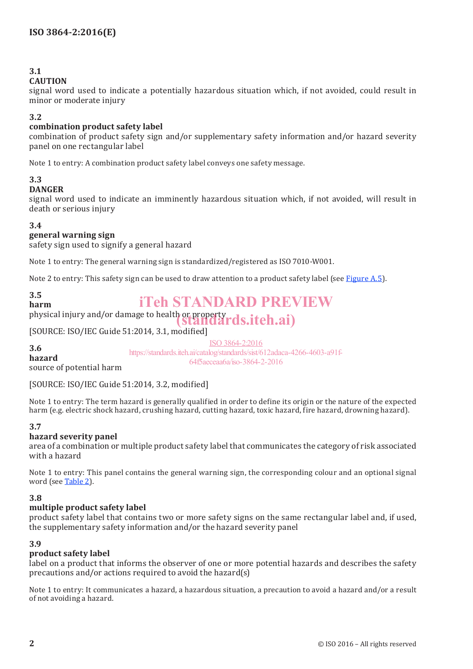# **3.1**

#### **CAUTION**

signal word used to indicate a potentially hazardous situation which, if not avoided, could result in minor or moderate injury

#### **3.2**

#### **combination product safety label**

combination of product safety sign and/or supplementary safety information and/or hazard severity panel on one rectangular label

Note 1 to entry: A combination product safety label conveys one safety message.

## **3.3**

#### **DANGER**

signal word used to indicate an imminently hazardous situation which, if not avoided, will result in death or serious injury

#### **3.4**

### **general warning sign**

safety sign used to signify a general hazard

Note 1 to entry: The general warning sign is standardized/registered as ISO 7010‑W001.

Note 2 to entry: This safety sign can be used to draw attention to a product safety label (see Figure A.5).

**3.5 harm**

**3.6 hazard**

# iTeh STANDARD PREVIEW

# physical injury and/or damage to health or property<br> **(standards.iteh.ai)**

[SOURCE: ISO/IEC Guide 51:2014, 3.1, modified]

ISO 3864-2:2016

https://standards.iteh.ai/catalog/standards/sist/612adaca-4266-4603-a91f-64f5aeceaa6a/iso-3864-2-2016

source of potential harm

[SOURCE: ISO/IEC Guide 51:2014, 3.2, modified]

Note 1 to entry: The term hazard is generally qualified in order to define its origin or the nature of the expected harm (e.g. electric shock hazard, crushing hazard, cutting hazard, toxic hazard, fire hazard, drowning hazard).

#### **3.7**

### **hazard severity panel**

area of a combination or multiple product safety label that communicates the category of risk associated with a hazard

Note 1 to entry: This panel contains the general warning sign, the corresponding colour and an optional signal word (see Table 2).

#### **3.8**

### **multiple product safety label**

product safety label that contains two or more safety signs on the same rectangular label and, if used, the supplementary safety information and/or the hazard severity panel

#### **3.9**

### **product safety label**

label on a product that informs the observer of one or more potential hazards and describes the safety precautions and/or actions required to avoid the hazard(s)

Note 1 to entry: It communicates a hazard, a hazardous situation, a precaution to avoid a hazard and/or a result of not avoiding a hazard.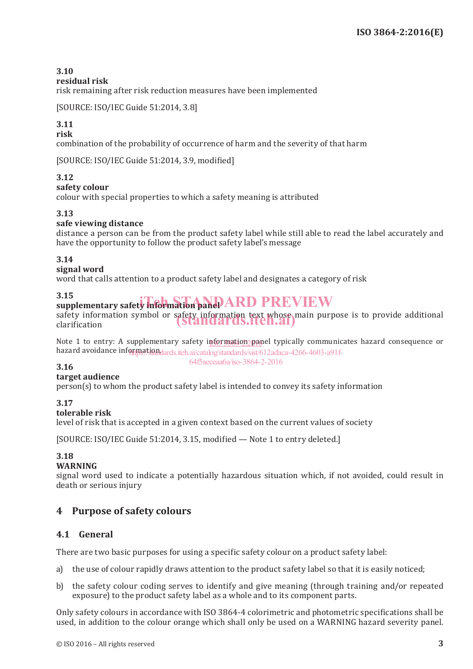## **3.10**

#### **residual risk**

risk remaining after risk reduction measures have been implemented

[SOURCE: ISO/IEC Guide 51:2014, 3.8]

# **3.11**

#### **risk**

combination of the probability of occurrence of harm and the severity of that harm

[SOURCE: ISO/IEC Guide 51:2014, 3.9, modified]

#### **3.12**

#### **safety colour**

colour with special properties to which a safety meaning is attributed

## **3.13**

#### **safe viewing distance**

distance a person can be from the product safety label while still able to read the label accurately and have the opportunity to follow the product safety label's message

#### **3.14**

#### **signal word**

word that calls attention to a product safety label and designates a category of risk

#### **3.15**

# 3.15<br>supplementary safety information panel **ARD** PREVIEW

safety information symbol or safety information text whose main purpose is to provide additional clarification clarification

Note 1 to entry: A supplementary safety information panel typically communicates hazard consequence or hazard avoidance information.dards.iteh.ai/catalog/standards/sist/612adaca-4266-4603-a91f-

64f5aeceaa6a/iso-3864-2-2016

#### **3.16**

#### **target audience**

person(s) to whom the product safety label is intended to convey its safety information

#### **3.17**

#### **tolerable risk**

level of risk that is accepted in a given context based on the current values of society

[SOURCE: ISO/IEC Guide 51:2014, 3.15, modified — Note 1 to entry deleted.]

### **3.18**

#### **WARNING**

signal word used to indicate a potentially hazardous situation which, if not avoided, could result in death or serious injury

# **4 Purpose of safety colours**

# **4.1 General**

There are two basic purposes for using a specific safety colour on a product safety label:

- a) the use of colour rapidly draws attention to the product safety label so that it is easily noticed;
- b) the safety colour coding serves to identify and give meaning (through training and/or repeated exposure) to the product safety label as a whole and to its component parts.

Only safety colours in accordance with ISO 3864-4 colorimetric and photometric specifications shall be used, in addition to the colour orange which shall only be used on a WARNING hazard severity panel.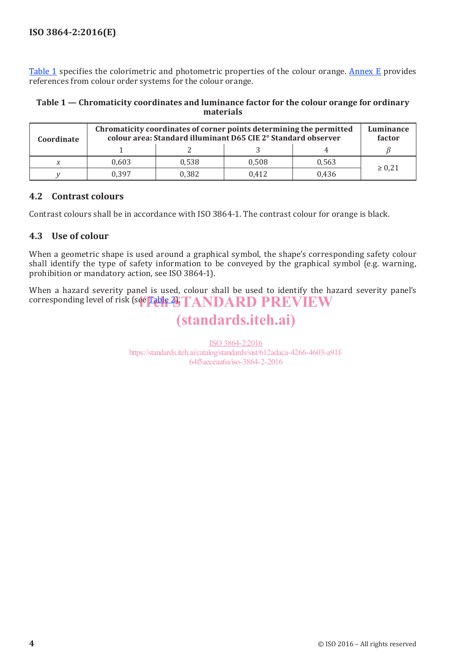Table 1 specifies the colorimetric and photometric properties of the colour orange. Annex E provides references from colour order systems for the colour orange.

#### **Table 1 — Chromaticity coordinates and luminance factor for the colour orange for ordinary materials**

| Coordinate | Chromaticity coordinates of corner points determining the permitted<br>colour area: Standard illuminant D65 CIE 2° Standard observer |       |       | Luminance<br>factor |            |
|------------|--------------------------------------------------------------------------------------------------------------------------------------|-------|-------|---------------------|------------|
|            |                                                                                                                                      |       |       |                     |            |
|            | 0.603                                                                                                                                | 0.538 | 0,508 | 0,563               |            |
|            | 0.397                                                                                                                                | 0.382 | 0.412 | 0.436               | $\ge 0.21$ |

## **4.2 Contrast colours**

Contrast colours shall be in accordance with ISO 3864-1. The contrast colour for orange is black.

## **4.3 Use of colour**

When a geometric shape is used around a graphical symbol, the shape's corresponding safety colour shall identify the type of safety information to be conveyed by the graphical symbol (e.g. warning, prohibition or mandatory action, see ISO 3864-1).

When a hazard severity panel is used, colour shall be used to identify the hazard severity panel's corresponding level of risk (see <mark>Table 2)</mark> TANDARD PREVIEW

# (standards.iteh.ai)

ISO 3864-2:2016 https://standards.iteh.ai/catalog/standards/sist/612adaca-4266-4603-a91f-64f5aeceaa6a/iso-3864-2-2016